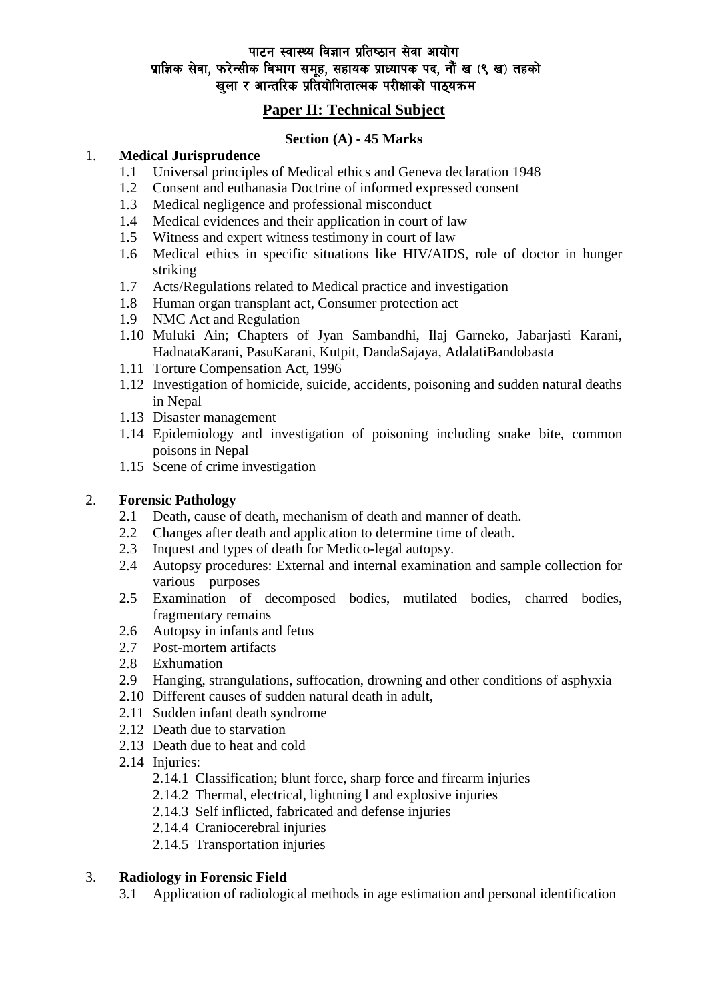## पाटन स्वास्थ्य विज्ञान प्रतिष्ठान सेवा आयोग प्राज्ञिक सेवा, फरेन्सीक विभाग समूह, सहायक प्राध्यापक पद, नौं ख (९ ख) तहको खुला र आन्तरिक प्रतियोगितात्मक परीक्षाको पाठ्यक्रम

# **Paper II: Technical Subject**

## **Section (A) - 45 Marks**

### 1. **Medical Jurisprudence**

- 1.1 Universal principles of Medical ethics and Geneva declaration 1948
- 1.2 Consent and euthanasia Doctrine of informed expressed consent
- 1.3 Medical negligence and professional misconduct
- 1.4 Medical evidences and their application in court of law
- 1.5 Witness and expert witness testimony in court of law
- 1.6 Medical ethics in specific situations like HIV/AIDS, role of doctor in hunger striking
- 1.7 Acts/Regulations related to Medical practice and investigation
- 1.8 Human organ transplant act, Consumer protection act
- 1.9 NMC Act and Regulation
- 1.10 Muluki Ain; Chapters of Jyan Sambandhi, Ilaj Garneko, Jabarjasti Karani, HadnataKarani, PasuKarani, Kutpit, DandaSajaya, AdalatiBandobasta
- 1.11 Torture Compensation Act, 1996
- 1.12 Investigation of homicide, suicide, accidents, poisoning and sudden natural deaths in Nepal
- 1.13 Disaster management
- 1.14 Epidemiology and investigation of poisoning including snake bite, common poisons in Nepal
- 1.15 Scene of crime investigation

### 2. **Forensic Pathology**

- 2.1 Death, cause of death, mechanism of death and manner of death.
- 2.2 Changes after death and application to determine time of death.
- 2.3 Inquest and types of death for Medico-legal autopsy.
- 2.4 Autopsy procedures: External and internal examination and sample collection for various purposes
- 2.5 Examination of decomposed bodies, mutilated bodies, charred bodies, fragmentary remains
- 2.6 Autopsy in infants and fetus
- 2.7 Post-mortem artifacts
- 2.8 Exhumation
- 2.9 Hanging, strangulations, suffocation, drowning and other conditions of asphyxia
- 2.10 Different causes of sudden natural death in adult,
- 2.11 Sudden infant death syndrome
- 2.12 Death due to starvation
- 2.13 Death due to heat and cold
- 2.14 Injuries:
	- 2.14.1 Classification; blunt force, sharp force and firearm injuries
	- 2.14.2 Thermal, electrical, lightning l and explosive injuries
	- 2.14.3 Self inflicted, fabricated and defense injuries
	- 2.14.4 Craniocerebral injuries
	- 2.14.5 Transportation injuries

### 3. **Radiology in Forensic Field**

3.1 Application of radiological methods in age estimation and personal identification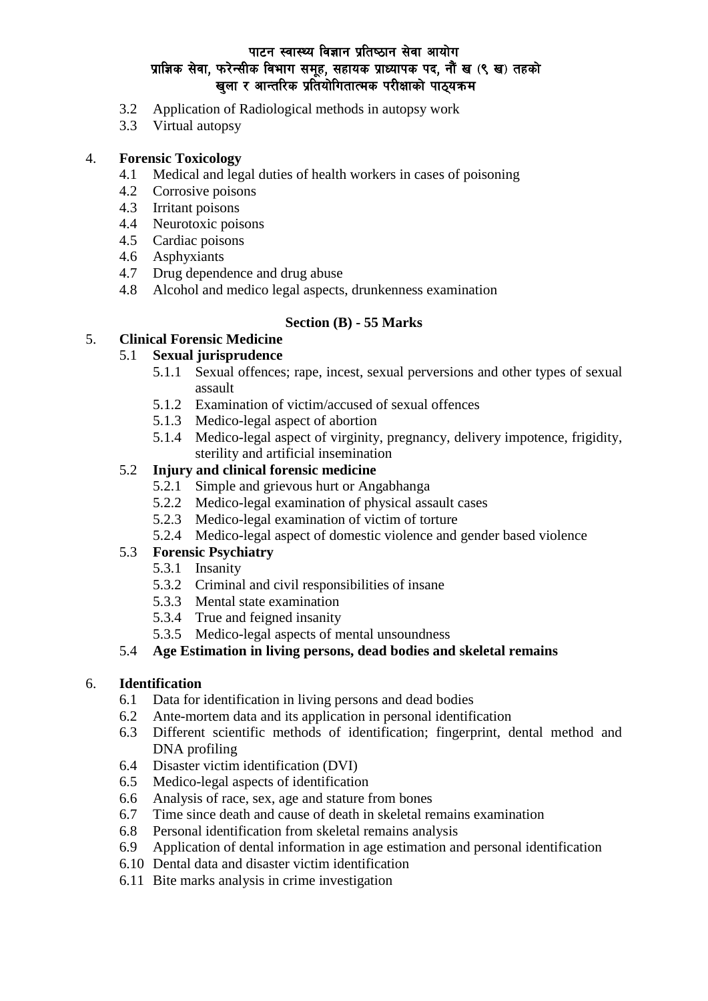## पाटन स्वास्थ्य विज्ञान प्रतिष्ठान सेवा आयोग प्राज्ञिक सेवा, फरेन्सीक विभाग समूह, सहायक प्राध्यापक पद, नौं ख (९ ख) तहको खला र आन्तरिक प्रतियोगितात्मक परीक्षाको पाठयक्रम

- 3.2 Application of Radiological methods in autopsy work
- 3.3 Virtual autopsy

### 4. **Forensic Toxicology**

- 4.1 Medical and legal duties of health workers in cases of poisoning
- 4.2 Corrosive poisons
- 4.3 Irritant poisons
- 4.4 Neurotoxic poisons
- 4.5 Cardiac poisons
- 4.6 Asphyxiants
- 4.7 Drug dependence and drug abuse
- 4.8 Alcohol and medico legal aspects, drunkenness examination

### **Section (B) - 55 Marks**

# 5. **Clinical Forensic Medicine**

### 5.1 **Sexual jurisprudence**

- 5.1.1 Sexual offences; rape, incest, sexual perversions and other types of sexual assault
- 5.1.2 Examination of victim/accused of sexual offences
- 5.1.3 Medico-legal aspect of abortion
- 5.1.4 Medico-legal aspect of virginity, pregnancy, delivery impotence, frigidity, sterility and artificial insemination

## 5.2 **Injury and clinical forensic medicine**

- 5.2.1 Simple and grievous hurt or Angabhanga
- 5.2.2 Medico-legal examination of physical assault cases
- 5.2.3 Medico-legal examination of victim of torture
- 5.2.4 Medico-legal aspect of domestic violence and gender based violence

### 5.3 **Forensic Psychiatry**

- 5.3.1 Insanity
- 5.3.2 Criminal and civil responsibilities of insane
- 5.3.3 Mental state examination
- 5.3.4 True and feigned insanity
- 5.3.5 Medico-legal aspects of mental unsoundness

#### 5.4 **Age Estimation in living persons, dead bodies and skeletal remains**

#### 6. **Identification**

- 6.1 Data for identification in living persons and dead bodies
- 6.2 Ante-mortem data and its application in personal identification
- 6.3 Different scientific methods of identification; fingerprint, dental method and DNA profiling
- 6.4 Disaster victim identification (DVI)
- 6.5 Medico-legal aspects of identification
- 6.6 Analysis of race, sex, age and stature from bones
- 6.7 Time since death and cause of death in skeletal remains examination
- 6.8 Personal identification from skeletal remains analysis
- 6.9 Application of dental information in age estimation and personal identification
- 6.10 Dental data and disaster victim identification
- 6.11 Bite marks analysis in crime investigation